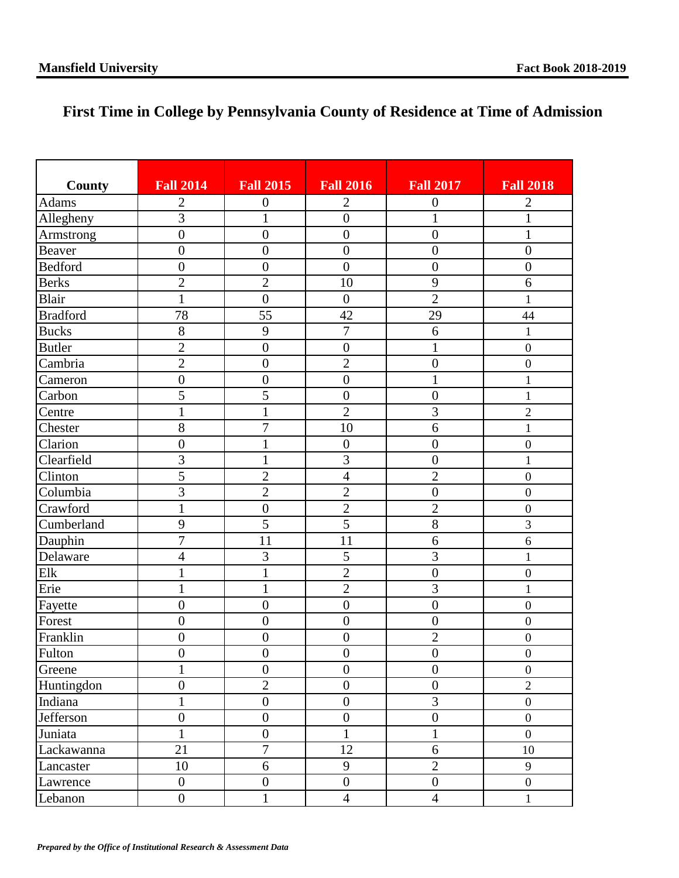## **First Time in College by Pennsylvania County of Residence at Time of Admission**

| County          | <b>Fall 2014</b> | <b>Fall 2015</b> | <b>Fall 2016</b> | <b>Fall 2017</b> | <b>Fall 2018</b> |
|-----------------|------------------|------------------|------------------|------------------|------------------|
| Adams           | $\mathbf{2}$     | $\boldsymbol{0}$ | $\mathbf{2}$     | $\boldsymbol{0}$ | $\overline{2}$   |
| Allegheny       | $\overline{3}$   | $\mathbf{1}$     | $\overline{0}$   | $\mathbf{1}$     | $\mathbf{1}$     |
| Armstrong       | $\overline{0}$   | $\overline{0}$   | $\overline{0}$   | $\overline{0}$   | $\mathbf{1}$     |
| Beaver          | $\boldsymbol{0}$ | $\boldsymbol{0}$ | $\boldsymbol{0}$ | $\boldsymbol{0}$ | $\boldsymbol{0}$ |
| <b>Bedford</b>  | $\overline{0}$   | $\overline{0}$   | $\boldsymbol{0}$ | $\boldsymbol{0}$ | $\boldsymbol{0}$ |
| <b>Berks</b>    | $\overline{2}$   | $\overline{2}$   | 10               | 9                | 6                |
| Blair           | $\mathbf{1}$     | $\overline{0}$   | $\boldsymbol{0}$ | $\overline{2}$   | $\mathbf{1}$     |
| <b>Bradford</b> | 78               | 55               | 42               | 29               | 44               |
| <b>Bucks</b>    | 8                | 9                | $\boldsymbol{7}$ | 6                | $\mathbf{1}$     |
| <b>Butler</b>   | $\overline{2}$   | $\boldsymbol{0}$ | $\boldsymbol{0}$ | $\mathbf{1}$     | $\boldsymbol{0}$ |
| Cambria         | $\overline{c}$   | $\boldsymbol{0}$ | $\overline{2}$   | $\overline{0}$   | $\boldsymbol{0}$ |
| Cameron         | $\overline{0}$   | $\boldsymbol{0}$ | $\overline{0}$   | $\mathbf{1}$     | $\mathbf{1}$     |
| Carbon          | 5                | $\overline{5}$   | $\overline{0}$   | $\overline{0}$   | $\mathbf{1}$     |
| Centre          | $\mathbf{1}$     | $\mathbf{1}$     | $\overline{2}$   | $\overline{3}$   | $\overline{2}$   |
| Chester         | $\overline{8}$   | $\overline{7}$   | 10               | 6                | $\mathbf{1}$     |
| Clarion         | $\overline{0}$   | $\mathbf{1}$     | $\boldsymbol{0}$ | $\overline{0}$   | $\boldsymbol{0}$ |
| Clearfield      | $\overline{3}$   | $\mathbf{1}$     | $\overline{3}$   | $\boldsymbol{0}$ | $\mathbf{1}$     |
| Clinton         | $\overline{5}$   | $\overline{2}$   | $\overline{4}$   | $\overline{2}$   | $\boldsymbol{0}$ |
| Columbia        | $\overline{3}$   | $\overline{2}$   | $\overline{2}$   | $\boldsymbol{0}$ | $\boldsymbol{0}$ |
| Crawford        | $\mathbf{1}$     | $\overline{0}$   | $\overline{2}$   | $\overline{2}$   | $\boldsymbol{0}$ |
| Cumberland      | 9                | $\overline{5}$   | $\overline{5}$   | $\overline{8}$   | 3                |
| Dauphin         | $\overline{7}$   | 11               | 11               | 6                | 6                |
| Delaware        | $\overline{4}$   | 3                | 5                | $\overline{3}$   | $\mathbf{1}$     |
| Elk             | $\mathbf{1}$     | $\mathbf{1}$     | $\overline{2}$   | $\overline{0}$   | $\boldsymbol{0}$ |
| Erie            | $\mathbf{1}$     | $\mathbf{1}$     | $\overline{2}$   | 3                | $\mathbf{1}$     |
| Fayette         | $\overline{0}$   | $\boldsymbol{0}$ | $\boldsymbol{0}$ | $\boldsymbol{0}$ | $\boldsymbol{0}$ |
| Forest          | $\overline{0}$   | $\overline{0}$   | $\overline{0}$   | $\boldsymbol{0}$ | $\boldsymbol{0}$ |
| Franklin        | $\boldsymbol{0}$ | $\boldsymbol{0}$ | $\boldsymbol{0}$ | $\overline{c}$   | $\boldsymbol{0}$ |
| Fulton          | $\boldsymbol{0}$ | $\boldsymbol{0}$ | $\boldsymbol{0}$ | $\boldsymbol{0}$ | $\boldsymbol{0}$ |
| Greene          | $\mathbf{1}$     | $\overline{0}$   | $\overline{0}$   | $\overline{0}$   | $\boldsymbol{0}$ |
| Huntingdon      | $\boldsymbol{0}$ | $\overline{c}$   | $\boldsymbol{0}$ | $\boldsymbol{0}$ | $\overline{2}$   |
| Indiana         | $\mathbf{1}$     | $\overline{0}$   | $\overline{0}$   | $\overline{3}$   | $\boldsymbol{0}$ |
| Jefferson       | $\overline{0}$   | $\boldsymbol{0}$ | $\boldsymbol{0}$ | $\boldsymbol{0}$ | $\boldsymbol{0}$ |
| Juniata         | $\mathbf{1}$     | $\overline{0}$   | $\mathbf{1}$     | $\mathbf{1}$     | $\overline{0}$   |
| Lackawanna      | 21               | $\overline{7}$   | 12               | $\overline{6}$   | 10               |
| Lancaster       | 10               | 6                | 9                | $\mathbf{2}$     | 9                |
| Lawrence        | $\boldsymbol{0}$ | $\boldsymbol{0}$ | $\overline{0}$   | $\boldsymbol{0}$ | $\boldsymbol{0}$ |
| Lebanon         | $\boldsymbol{0}$ | $\mathbf{1}$     | $\overline{4}$   | $\overline{4}$   | $\mathbf{1}$     |